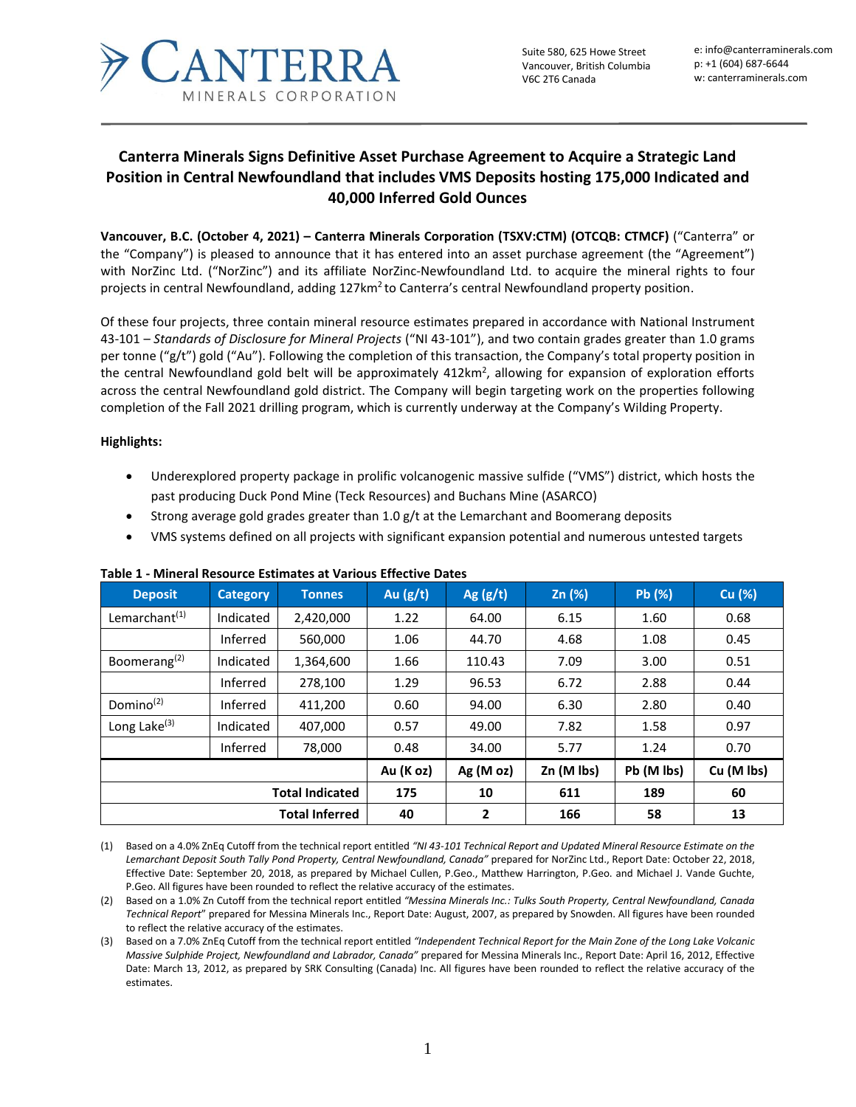

Suite 580, 625 Howe Street Vancouver, British Columbia V6C 2T6 Canada

e: info@canterraminerals.com p: +1 (604) 687-6644 w: canterraminerals.com

# **Canterra Minerals Signs Definitive Asset Purchase Agreement to Acquire a Strategic Land Position in Central Newfoundland that includes VMS Deposits hosting 175,000 Indicated and 40,000 Inferred Gold Ounces**

**Vancouver, B.C. (October 4, 2021) – Canterra Minerals Corporation (TSXV:CTM) (OTCQB: CTMCF)** ("Canterra" or the "Company") is pleased to announce that it has entered into an asset purchase agreement (the "Agreement") with NorZinc Ltd. ("NorZinc") and its affiliate NorZinc-Newfoundland Ltd. to acquire the mineral rights to four projects in central Newfoundland, adding 127km<sup>2</sup> to Canterra's central Newfoundland property position.

Of these four projects, three contain mineral resource estimates prepared in accordance with National Instrument 43-101 – *Standards of Disclosure for Mineral Projects* ("NI 43-101"), and two contain grades greater than 1.0 grams per tonne ("g/t") gold ("Au"). Following the completion of this transaction, the Company's total property position in the central Newfoundland gold belt will be approximately  $412 \text{km}^2$ , allowing for expansion of exploration efforts across the central Newfoundland gold district. The Company will begin targeting work on the properties following completion of the Fall 2021 drilling program, which is currently underway at the Company's Wilding Property.

## **Highlights:**

- Underexplored property package in prolific volcanogenic massive sulfide ("VMS") district, which hosts the past producing Duck Pond Mine (Teck Resources) and Buchans Mine (ASARCO)
- Strong average gold grades greater than  $1.0$  g/t at the Lemarchant and Boomerang deposits
- VMS systems defined on all projects with significant expansion potential and numerous untested targets

| <b>Deposit</b>            | <b>Category</b> | <b>Tonnes</b> | Au $(g/t)$ | Ag $(g/t)$ | Zn (%)     | Pb (%)     | Cu (%)     |
|---------------------------|-----------------|---------------|------------|------------|------------|------------|------------|
| Lemarchant <sup>(1)</sup> | Indicated       | 2,420,000     | 1.22       | 64.00      | 6.15       | 1.60       | 0.68       |
|                           | Inferred        | 560,000       | 1.06       | 44.70      | 4.68       | 1.08       | 0.45       |
| Boomerang <sup>(2)</sup>  | Indicated       | 1,364,600     | 1.66       | 110.43     | 7.09       | 3.00       | 0.51       |
|                           | Inferred        | 278,100       | 1.29       | 96.53      | 6.72       | 2.88       | 0.44       |
| Domino <sup>(2)</sup>     | Inferred        | 411,200       | 0.60       | 94.00      | 6.30       | 2.80       | 0.40       |
| Long Lake <sup>(3)</sup>  | Indicated       | 407,000       | 0.57       | 49.00      | 7.82       | 1.58       | 0.97       |
|                           | Inferred        | 78,000        | 0.48       | 34.00      | 5.77       | 1.24       | 0.70       |
|                           |                 |               | Au (K oz)  | Ag(Moz)    | Zn (M lbs) | Pb (M lbs) | Cu (M lbs) |
| <b>Total Indicated</b>    |                 |               | 175        | 10         | 611        | 189        | 60         |
| <b>Total Inferred</b>     |                 | 40            | 2          | 166        | 58         | 13         |            |

## **Table 1 - Mineral Resource Estimates at Various Effective Dates**

(1) Based on a 4.0% ZnEq Cutoff from the technical report entitled *"NI 43-101 Technical Report and Updated Mineral Resource Estimate on the*  Lemarchant Deposit South Tally Pond Property, Central Newfoundland, Canada" prepared for NorZinc Ltd., Report Date: October 22, 2018, Effective Date: September 20, 2018, as prepared by Michael Cullen, P.Geo., Matthew Harrington, P.Geo. and Michael J. Vande Guchte, P.Geo. All figures have been rounded to reflect the relative accuracy of the estimates.

(2) Based on a 1.0% Zn Cutoff from the technical report entitled *"Messina Minerals Inc.: Tulks South Property, Central Newfoundland, Canada Technical Report*" prepared for Messina Minerals Inc., Report Date: August, 2007, as prepared by Snowden. All figures have been rounded to reflect the relative accuracy of the estimates.

(3) Based on a 7.0% ZnEq Cutoff from the technical report entitled *"Independent Technical Report for the Main Zone of the Long Lake Volcanic Massive Sulphide Project, Newfoundland and Labrador, Canada"* prepared for Messina Minerals Inc., Report Date: April 16, 2012, Effective Date: March 13, 2012, as prepared by SRK Consulting (Canada) Inc. All figures have been rounded to reflect the relative accuracy of the estimates.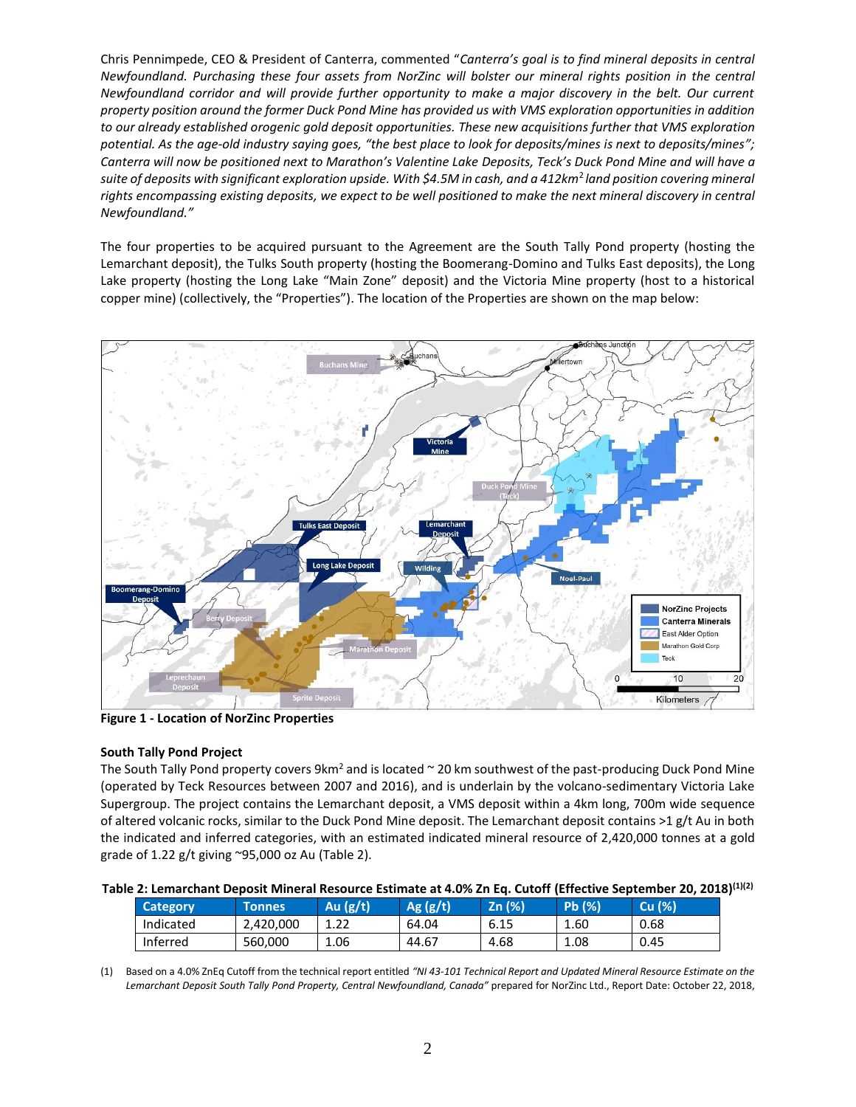Chris Pennimpede, CEO & President of Canterra, commented "*Canterra's goal is to find mineral deposits in central Newfoundland. Purchasing these four assets from NorZinc will bolster our mineral rights position in the central Newfoundland corridor and will provide further opportunity to make a major discovery in the belt. Our current property position around the former Duck Pond Mine has provided us with VMS exploration opportunities in addition to our already established orogenic gold deposit opportunities. These new acquisitions further that VMS exploration potential. As the age-old industry saying goes, "the best place to look for deposits/mines is next to deposits/mines"; Canterra will now be positioned next to Marathon's Valentine Lake Deposits, Teck's Duck Pond Mine and will have a suite of deposits with significant exploration upside. With \$4.5M in cash, and a 412km*<sup>2</sup>*land position covering mineral rights encompassing existing deposits, we expect to be well positioned to make the next mineral discovery in central Newfoundland."*

The four properties to be acquired pursuant to the Agreement are the South Tally Pond property (hosting the Lemarchant deposit), the Tulks South property (hosting the Boomerang-Domino and Tulks East deposits), the Long Lake property (hosting the Long Lake "Main Zone" deposit) and the Victoria Mine property (host to a historical copper mine) (collectively, the "Properties"). The location of the Properties are shown on the map below:



**Figure 1 - Location of NorZinc Properties**

## **South Tally Pond Project**

The South Tally Pond property covers 9km<sup>2</sup> and is located  $\sim$  20 km southwest of the past-producing Duck Pond Mine (operated by Teck Resources between 2007 and 2016), and is underlain by the volcano-sedimentary Victoria Lake Supergroup. The project contains the Lemarchant deposit, a VMS deposit within a 4km long, 700m wide sequence of altered volcanic rocks, similar to the Duck Pond Mine deposit. The Lemarchant deposit contains >1 g/t Au in both the indicated and inferred categories, with an estimated indicated mineral resource of 2,420,000 tonnes at a gold grade of 1.22 g/t giving  $\degree$ 95,000 oz Au (Table 2).

| Table 2: Lemarchant Deposit Mineral Resource Estimate at 4.0% Zn Eq. Cutoff (Effective September 20, 2018) <sup>(1)(2)</sup> |  |  |
|------------------------------------------------------------------------------------------------------------------------------|--|--|
|                                                                                                                              |  |  |

| Category  | <b>Tonnes</b> | Au (g/t)     | Ag(g/t) | Zn (%) | Pb (%) | <b>Cu</b> (%) |
|-----------|---------------|--------------|---------|--------|--------|---------------|
| Indicated | 2.420.000     | 1 วว<br>⊥.∠∠ | 64.04   | 6.15   | 1.60   | 0.68          |
| Inferred  | 560,000       | 1.06         | 44.67   | 4.68   | 1.08   | 0.45          |

(1) Based on a 4.0% ZnEq Cutoff from the technical report entitled *"NI 43-101 Technical Report and Updated Mineral Resource Estimate on the Lemarchant Deposit South Tally Pond Property, Central Newfoundland, Canada"* prepared for NorZinc Ltd., Report Date: October 22, 2018,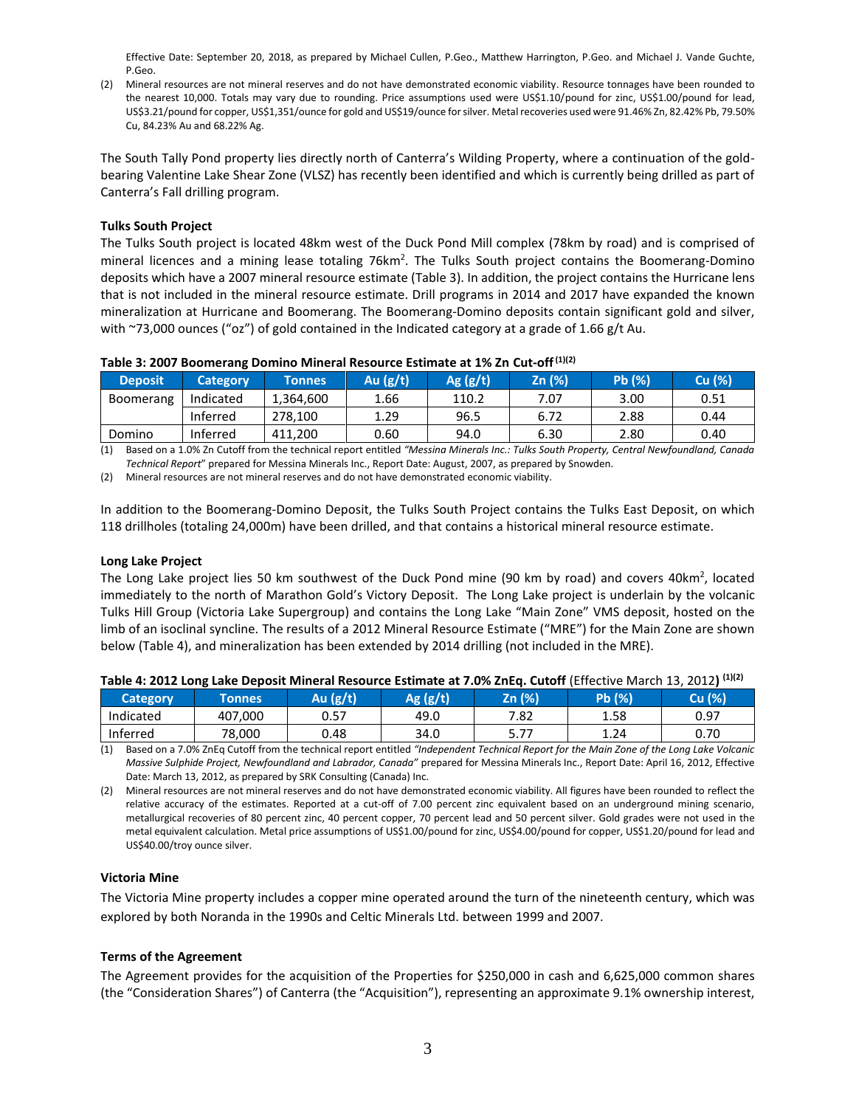Effective Date: September 20, 2018, as prepared by Michael Cullen, P.Geo., Matthew Harrington, P.Geo. and Michael J. Vande Guchte, P.Geo.

(2) Mineral resources are not mineral reserves and do not have demonstrated economic viability. Resource tonnages have been rounded to the nearest 10,000. Totals may vary due to rounding. Price assumptions used were US\$1.10/pound for zinc, US\$1.00/pound for lead, US\$3.21/pound for copper, US\$1,351/ounce for gold and US\$19/ounce for silver. Metal recoveries used were 91.46% Zn, 82.42% Pb, 79.50% Cu, 84.23% Au and 68.22% Ag.

The South Tally Pond property lies directly north of Canterra's Wilding Property, where a continuation of the goldbearing Valentine Lake Shear Zone (VLSZ) has recently been identified and which is currently being drilled as part of Canterra's Fall drilling program.

#### **Tulks South Project**

The Tulks South project is located 48km west of the Duck Pond Mill complex (78km by road) and is comprised of mineral licences and a mining lease totaling 76km<sup>2</sup>. The Tulks South project contains the Boomerang-Domino deposits which have a 2007 mineral resource estimate [\(Table 3\)](#page-2-0). In addition, the project contains the Hurricane lens that is not included in the mineral resource estimate. Drill programs in 2014 and 2017 have expanded the known mineralization at Hurricane and Boomerang. The Boomerang-Domino deposits contain significant gold and silver, with ~73,000 ounces ("oz") of gold contained in the Indicated category at a grade of 1.66 g/t Au.

| Table 3: Ever Doomerang Dommo mineral negoaree Egumate at 170 En eat on |                 |               |            |            |        |               |        |
|-------------------------------------------------------------------------|-----------------|---------------|------------|------------|--------|---------------|--------|
| <b>Deposit</b>                                                          | <b>Category</b> | <b>Tonnes</b> | Au $(g/t)$ | Ag $(g/t)$ | Zn (%) | <b>Pb</b> (%) | Cu (%) |
| Boomerang                                                               | Indicated       | 1.364.600     | 1.66       | 110.2      | 7.07   | 3.00          | 0.51   |
|                                                                         | Inferred        | 278.100       | 1.29       | 96.5       | 6.72   | 2.88          | 0.44   |
|                                                                         |                 |               |            |            |        |               |        |

Domino Inferred 411,200 0.60 94.0 6.30 2.80 0.40

<span id="page-2-0"></span>**Table 3: 2007 Boomerang Domino Mineral Resource Estimate at 1% Zn Cut-off(1)(2)**

(1) Based on a 1.0% Zn Cutoff from the technical report entitled *"Messina Minerals Inc.: Tulks South Property, Central Newfoundland, Canada Technical Report*" prepared for Messina Minerals Inc., Report Date: August, 2007, as prepared by Snowden.

(2) Mineral resources are not mineral reserves and do not have demonstrated economic viability.

In addition to the Boomerang-Domino Deposit, the Tulks South Project contains the Tulks East Deposit, on which 118 drillholes (totaling 24,000m) have been drilled, and that contains a historical mineral resource estimate.

#### **Long Lake Project**

The Long Lake project lies 50 km southwest of the Duck Pond mine (90 km by road) and covers 40km<sup>2</sup>, located immediately to the north of Marathon Gold's Victory Deposit. The Long Lake project is underlain by the volcanic Tulks Hill Group (Victoria Lake Supergroup) and contains the Long Lake "Main Zone" VMS deposit, hosted on the limb of an isoclinal syncline. The results of a 2012 Mineral Resource Estimate ("MRE") for the Main Zone are shown below (Table 4), and mineralization has been extended by 2014 drilling (not included in the MRE).

| <b>Category</b> | <b>Tonnes</b> | lu (g/t) | Ag (g/t) | Zn (%)      | Pb (%) | Cu (%) |
|-----------------|---------------|----------|----------|-------------|--------|--------|
| Indicated       | 407,000       | 0.57     | 49.0     | 7.82        | 1.58   | 0.97   |
| Inferred        | 78,000        | 0.48     | 34.0     | $-1$<br>J.I | 1.24   | 0.70   |

| Table 4: 2012 Long Lake Deposit Mineral Resource Estimate at 7.0% ZnEq. Cutoff (Effective March 13, 2012) <sup>(1)(2)</sup> |  |
|-----------------------------------------------------------------------------------------------------------------------------|--|
|-----------------------------------------------------------------------------------------------------------------------------|--|

(1) Based on a 7.0% ZnEq Cutoff from the technical report entitled *"Independent Technical Report for the Main Zone of the Long Lake Volcanic Massive Sulphide Project, Newfoundland and Labrador, Canada"* prepared for Messina Minerals Inc., Report Date: April 16, 2012, Effective Date: March 13, 2012, as prepared by SRK Consulting (Canada) Inc.

(2) Mineral resources are not mineral reserves and do not have demonstrated economic viability. All figures have been rounded to reflect the relative accuracy of the estimates. Reported at a cut-off of 7.00 percent zinc equivalent based on an underground mining scenario, metallurgical recoveries of 80 percent zinc, 40 percent copper, 70 percent lead and 50 percent silver. Gold grades were not used in the metal equivalent calculation. Metal price assumptions of US\$1.00/pound for zinc, US\$4.00/pound for copper, US\$1.20/pound for lead and US\$40.00/troy ounce silver.

#### **Victoria Mine**

The Victoria Mine property includes a copper mine operated around the turn of the nineteenth century, which was explored by both Noranda in the 1990s and Celtic Minerals Ltd. between 1999 and 2007.

## **Terms of the Agreement**

The Agreement provides for the acquisition of the Properties for \$250,000 in cash and 6,625,000 common shares (the "Consideration Shares") of Canterra (the "Acquisition"), representing an approximate 9.1% ownership interest,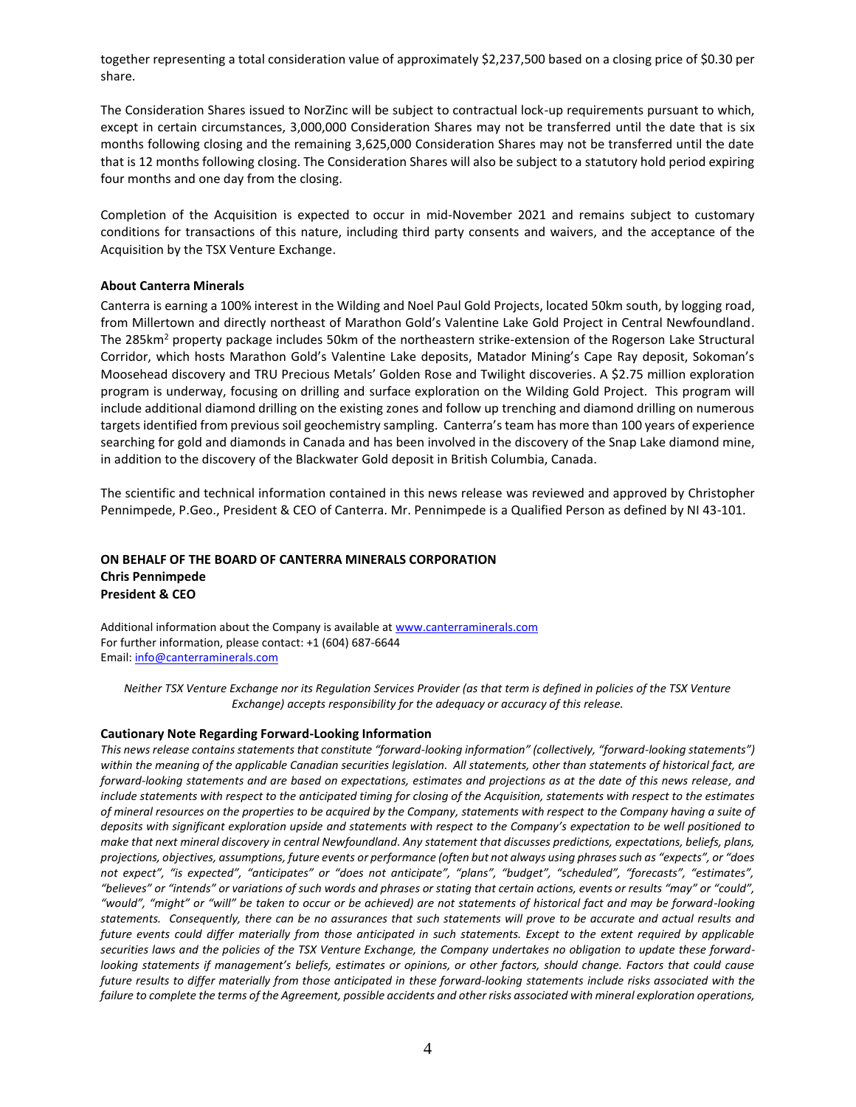together representing a total consideration value of approximately \$2,237,500 based on a closing price of \$0.30 per share.

The Consideration Shares issued to NorZinc will be subject to contractual lock-up requirements pursuant to which, except in certain circumstances, 3,000,000 Consideration Shares may not be transferred until the date that is six months following closing and the remaining 3,625,000 Consideration Shares may not be transferred until the date that is 12 months following closing. The Consideration Shares will also be subject to a statutory hold period expiring four months and one day from the closing.

Completion of the Acquisition is expected to occur in mid-November 2021 and remains subject to customary conditions for transactions of this nature, including third party consents and waivers, and the acceptance of the Acquisition by the TSX Venture Exchange.

### **About Canterra Minerals**

Canterra is earning a 100% interest in the Wilding and Noel Paul Gold Projects, located 50km south, by logging road, from Millertown and directly northeast of Marathon Gold's Valentine Lake Gold Project in Central Newfoundland. The 285km<sup>2</sup> property package includes 50km of the northeastern strike-extension of the Rogerson Lake Structural Corridor, which hosts Marathon Gold's Valentine Lake deposits, Matador Mining's Cape Ray deposit, Sokoman's Moosehead discovery and TRU Precious Metals' Golden Rose and Twilight discoveries. A \$2.75 million exploration program is underway, focusing on drilling and surface exploration on the Wilding Gold Project. This program will include additional diamond drilling on the existing zones and follow up trenching and diamond drilling on numerous targets identified from previous soil geochemistry sampling. Canterra's team has more than 100 years of experience searching for gold and diamonds in Canada and has been involved in the discovery of the Snap Lake diamond mine, in addition to the discovery of the Blackwater Gold deposit in British Columbia, Canada.

The scientific and technical information contained in this news release was reviewed and approved by Christopher Pennimpede, P.Geo., President & CEO of Canterra. Mr. Pennimpede is a Qualified Person as defined by NI 43-101.

## **ON BEHALF OF THE BOARD OF CANTERRA MINERALS CORPORATION Chris Pennimpede President & CEO**

Additional information about the Company is available at [www.canterraminerals.com](http://www.canterraminerals.com/s/Home.asp) For further information, please contact: +1 (604) 687-6644 Email: [info@canterraminerals.com](mailto:info@canterraminerals.com)

*Neither TSX Venture Exchange nor its Regulation Services Provider (as that term is defined in policies of the TSX Venture Exchange) accepts responsibility for the adequacy or accuracy of this release.*

#### **Cautionary Note Regarding Forward-Looking Information**

*This news release contains statements that constitute "forward-looking information" (collectively, "forward-looking statements") within the meaning of the applicable Canadian securities legislation. All statements, other than statements of historical fact, are forward-looking statements and are based on expectations, estimates and projections as at the date of this news release, and include statements with respect to the anticipated timing for closing of the Acquisition, statements with respect to the estimates of mineral resources on the properties to be acquired by the Company, statements with respect to the Company having a suite of deposits with significant exploration upside and statements with respect to the Company's expectation to be well positioned to make that next mineral discovery in central Newfoundland. Any statement that discusses predictions, expectations, beliefs, plans, projections, objectives, assumptions, future events or performance (often but not always using phrases such as "expects", or "does not expect", "is expected", "anticipates" or "does not anticipate", "plans", "budget", "scheduled", "forecasts", "estimates", "believes" or "intends" or variations of such words and phrases or stating that certain actions, events or results "may" or "could", "would", "might" or "will" be taken to occur or be achieved) are not statements of historical fact and may be forward-looking statements. Consequently, there can be no assurances that such statements will prove to be accurate and actual results and future events could differ materially from those anticipated in such statements. Except to the extent required by applicable securities laws and the policies of the TSX Venture Exchange, the Company undertakes no obligation to update these forwardlooking statements if management's beliefs, estimates or opinions, or other factors, should change. Factors that could cause future results to differ materially from those anticipated in these forward-looking statements include risks associated with the failure to complete the terms of the Agreement, possible accidents and other risks associated with mineral exploration operations,*